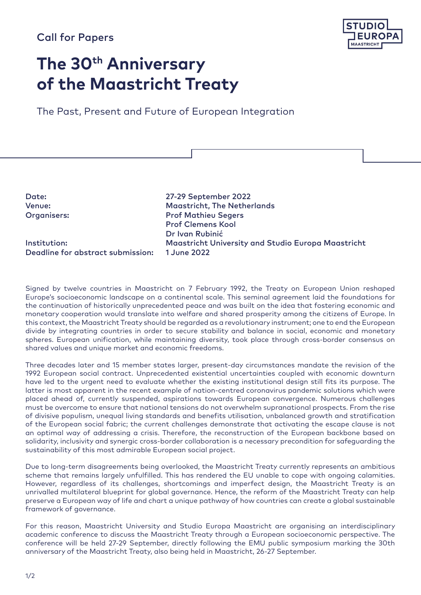# Call for Papers



# **The 30th Anniversary of the Maastricht Treaty**

The Past, Present and Future of European Integration

| Date:                             | 27-29 September 2022                                      |
|-----------------------------------|-----------------------------------------------------------|
| Venue:                            | <b>Maastricht, The Netherlands</b>                        |
| Organisers:                       | <b>Prof Mathieu Segers</b>                                |
|                                   | <b>Prof Clemens Kool</b>                                  |
|                                   | Dr Ivan Rubinić                                           |
| Institution:                      | <b>Maastricht University and Studio Europa Maastricht</b> |
| Deadline for abstract submission: | 1 June 2022                                               |
|                                   |                                                           |

Signed by twelve countries in Maastricht on 7 February 1992, the Treaty on European Union reshaped Europe's socioeconomic landscape on a continental scale. This seminal agreement laid the foundations for the continuation of historically unprecedented peace and was built on the idea that fostering economic and monetary cooperation would translate into welfare and shared prosperity among the citizens of Europe. In this context, the Maastricht Treaty should be regarded as a revolutionary instrument; one to end the European divide by integrating countries in order to secure stability and balance in social, economic and monetary spheres. European unification, while maintaining diversity, took place through cross-border consensus on shared values and unique market and economic freedoms.

Three decades later and 15 member states larger, present-day circumstances mandate the revision of the 1992 European social contract. Unprecedented existential uncertainties coupled with economic downturn have led to the urgent need to evaluate whether the existing institutional design still fits its purpose. The latter is most apparent in the recent example of nation-centred coronavirus pandemic solutions which were placed ahead of, currently suspended, aspirations towards European convergence. Numerous challenges must be overcome to ensure that national tensions do not overwhelm supranational prospects. From the rise of divisive populism, unequal living standards and benefits utilisation, unbalanced growth and stratification of the European social fabric; the current challenges demonstrate that activating the escape clause is not an optimal way of addressing a crisis. Therefore, the reconstruction of the European backbone based on solidarity, inclusivity and synergic cross-border collaboration is a necessary precondition for safeguarding the sustainability of this most admirable European social project.

Due to long-term disagreements being overlooked, the Maastricht Treaty currently represents an ambitious scheme that remains largely unfulfilled. This has rendered the EU unable to cope with ongoing calamities. However, regardless of its challenges, shortcomings and imperfect design, the Maastricht Treaty is an unrivalled multilateral blueprint for global governance. Hence, the reform of the Maastricht Treaty can help preserve a European way of life and chart a unique pathway of how countries can create a global sustainable framework of governance.

For this reason, Maastricht University and Studio Europa Maastricht are organising an interdisciplinary academic conference to discuss the Maastricht Treaty through a European socioeconomic perspective. The conference will be held 27-29 September, directly following the EMU public symposium marking the 30th anniversary of the Maastricht Treaty, also being held in Maastricht, 26-27 September.